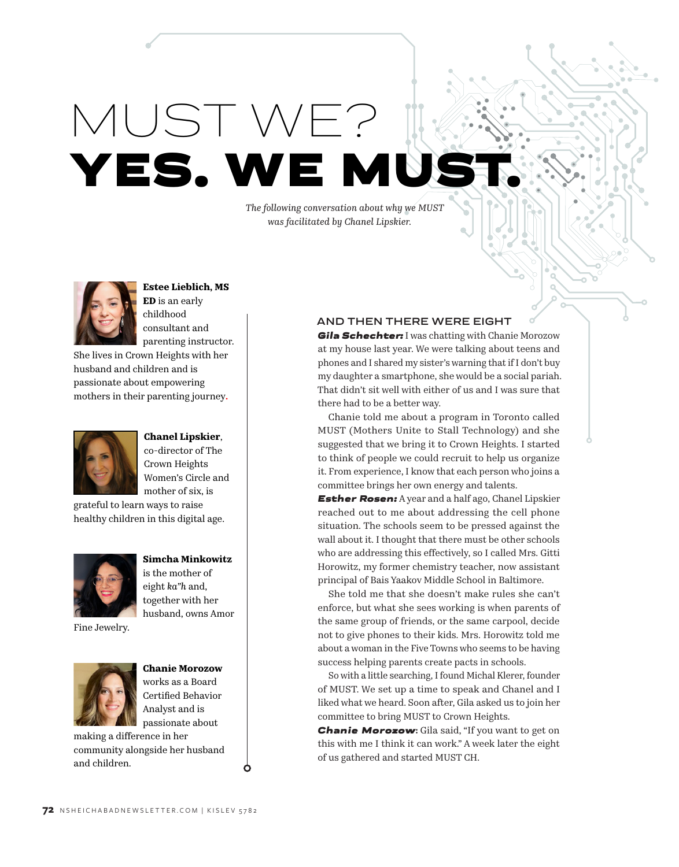MUST WE? YES. WE M

*The following conversation about why we MUST was facilitated by Chanel Lipskier.*



**Estee Lieblich, MS ED** is an early childhood consultant and parenting instructor.

She lives in Crown Heights with her husband and children and is passionate about empowering mothers in their parenting journey**.**



**Chanel Lipskier**, co-director of The Crown Heights Women's Circle and mother of six, is

grateful to learn ways to raise healthy children in this digital age.



**Simcha Minkowitz** is the mother of eight *ka"h* and, together with her husband, owns Amor

Fine Jewelry.



**Chanie Morozow** works as a Board Certified Behavior Analyst and is passionate about

Ò

making a difference in her community alongside her husband and children.

#### **AND THEN THERE WERE EIGHT**

*Gila Schechter:* I was chatting with Chanie Morozow at my house last year. We were talking about teens and phones and I shared my sister's warning that if I don't buy my daughter a smartphone, she would be a social pariah. That didn't sit well with either of us and I was sure that there had to be a better way.

Chanie told me about a program in Toronto called MUST (Mothers Unite to Stall Technology) and she suggested that we bring it to Crown Heights. I started to think of people we could recruit to help us organize it. From experience, I know that each person who joins a committee brings her own energy and talents.

*Esther Rosen:* A year and a half ago, Chanel Lipskier reached out to me about addressing the cell phone situation. The schools seem to be pressed against the wall about it. I thought that there must be other schools who are addressing this effectively, so I called Mrs. Gitti Horowitz, my former chemistry teacher, now assistant principal of Bais Yaakov Middle School in Baltimore.

She told me that she doesn't make rules she can't enforce, but what she sees working is when parents of the same group of friends, or the same carpool, decide not to give phones to their kids. Mrs. Horowitz told me about a woman in the Five Towns who seems to be having success helping parents create pacts in schools.

So with a little searching, I found Michal Klerer, founder of MUST. We set up a time to speak and Chanel and I liked what we heard. Soon after, Gila asked us to join her committee to bring MUST to Crown Heights.

*Chanie Morozow***:** Gila said, "If you want to get on this with me I think it can work." A week later the eight of us gathered and started MUST CH.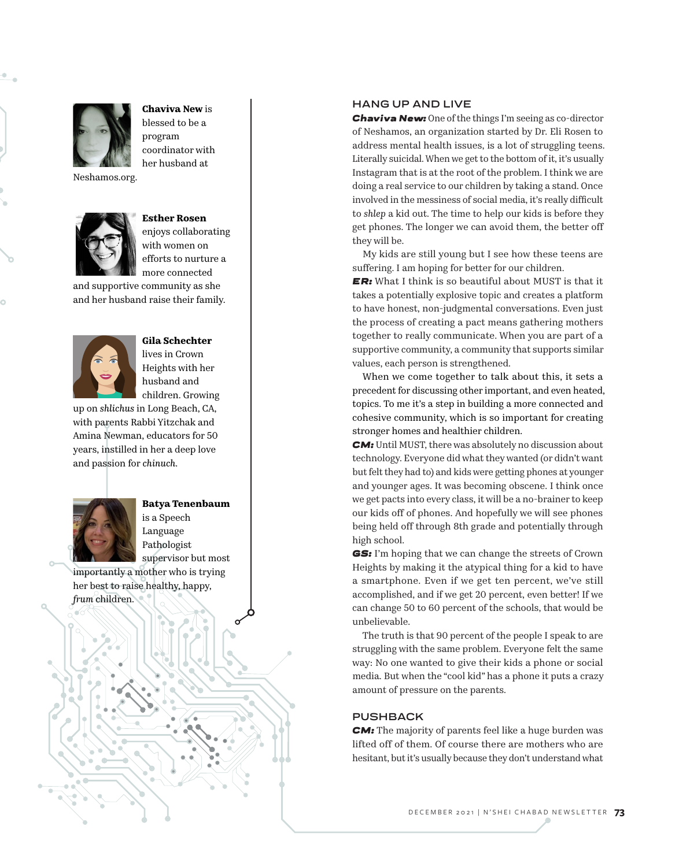

**Chaviva New** is blessed to be a program coordinator with her husband at

Neshamos.org.



**Esther Rosen** enjoys collaborating with women on efforts to nurture a

more connected

and supportive community as she and her husband raise their family.



**Gila Schechter** lives in Crown

Heights with her husband and children. Growing

up on *shlichus* in Long Beach, CA, with parents Rabbi Yitzchak and Amina Newman, educators for 50 years, instilled in her a deep love and passion for *chinuch* .



**Batya Tenenbaum** is a Speech Language Pathologist supervisor but most

importantly a mother who is trying her best to raise healthy, happy, *frum* children.

### **HANG UP AND LIVE**

*Chaviva New:* One of the things I'm seeing as co-director of Neshamos, an organization started by Dr. Eli Rosen to address mental health issues, is a lot of struggling teens. Literally suicidal. When we get to the bottom of it, it's usually Instagram that is at the root of the problem. I think we are doing a real service to our children by taking a stand. Once involved in the messiness of social media, it's really difficult to *shlep* a kid out. The time to help our kids is before they get phones. The longer we can avoid them, the better off they will be.

My kids are still young but I see how these teens are suffering. I am hoping for better for our children.

*ER:* What I think is so beautiful about MUST is that it takes a potentially explosive topic and creates a platform to have honest, non-judgmental conversations. Even just the process of creating a pact means gathering mothers together to really communicate. When you are part of a supportive community, a community that supports similar values, each person is strengthened.

When we come together to talk about this, it sets a precedent for discussing other important, and even heated, topics. To me it's a step in building a more connected and cohesive community, which is so important for creating stronger homes and healthier children.

*CM:* Until MUST, there was absolutely no discussion about technology. Everyone did what they wanted (or didn't want but felt they had to) and kids were getting phones at younger and younger ages. It was becoming obscene. I think once we get pacts into every class, it will be a no-brainer to keep our kids off of phones. And hopefully we will see phones being held off through 8th grade and potentially through high school.

*GS:* I'm hoping that we can change the streets of Crown Heights by making it the atypical thing for a kid to have a smartphone. Even if we get ten percent, we've still accomplished, and if we get 20 percent, even better! If we can change 50 to 60 percent of the schools, that would be unbelievable.

The truth is that 90 percent of the people I speak to are struggling with the same problem. Everyone felt the same way: No one wanted to give their kids a phone or social media. But when the "cool kid" has a phone it puts a crazy amount of pressure on the parents.

#### **PUSHBACK**

*CM:* The majority of parents feel like a huge burden was lifted off of them. Of course there are mothers who are hesitant, but it's usually because they don't understand what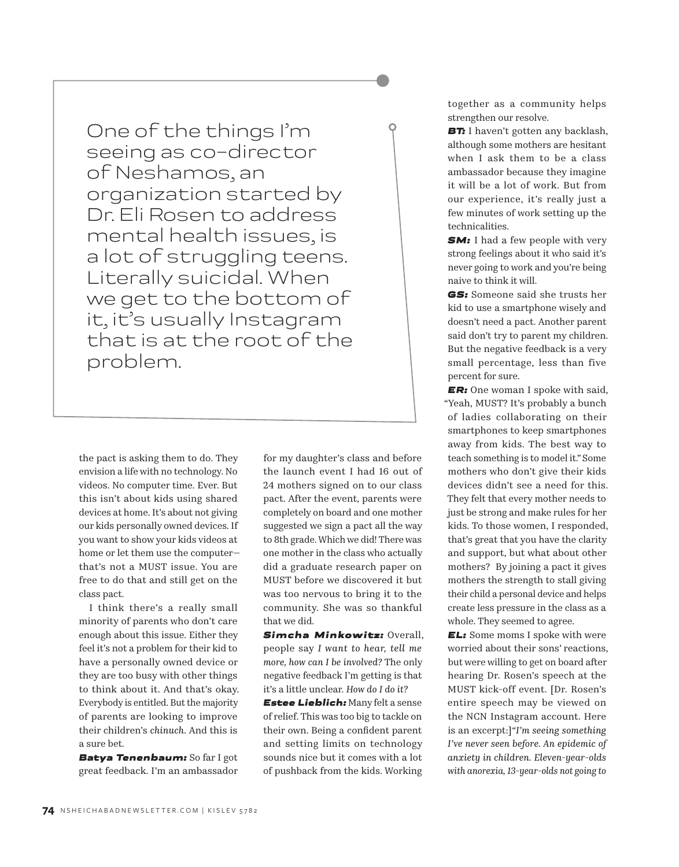One of the things I'm seeing as co-director of Neshamos, an organization started by Dr. Eli Rosen to address mental health issues, is a lot of struggling teens. Literally suicidal. When we get to the bottom of it, it's usually Instagram that is at the root of the problem.

the pact is asking them to do. They envision a life with no technology. No videos. No computer time. Ever. But this isn't about kids using shared devices at home. It's about not giving our kids personally owned devices. If you want to show your kids videos at home or let them use the computer that's not a MUST issue. You are free to do that and still get on the class pact.

I think there's a really small minority of parents who don't care enough about this issue. Either they feel it's not a problem for their kid to have a personally owned device or they are too busy with other things to think about it. And that's okay. Everybody is entitled. But the majority of parents are looking to improve their children's *chinuch*. And this is a sure bet.

*Batya Tenenbaum:* So far I got great feedback. I'm an ambassador for my daughter's class and before the launch event I had 16 out of 24 mothers signed on to our class pact. After the event, parents were completely on board and one mother suggested we sign a pact all the way to 8th grade. Which we did! There was one mother in the class who actually did a graduate research paper on MUST before we discovered it but was too nervous to bring it to the community. She was so thankful that we did.

*Simcha Minkowitz:* Overall, people say *I want to hear, tell me more, how can I be involved?* The only negative feedback I'm getting is that it's a little unclear. *How do I do it?*

*Estee Lieblich:* Many felt a sense of relief. This was too big to tackle on their own. Being a confident parent and setting limits on technology sounds nice but it comes with a lot of pushback from the kids. Working together as a community helps strengthen our resolve.

**BT:** I haven't gotten any backlash, although some mothers are hesitant when I ask them to be a class ambassador because they imagine it will be a lot of work. But from our experience, it's really just a few minutes of work setting up the technicalities.

*SM:* I had a few people with very strong feelings about it who said it's never going to work and you're being naive to think it will.

*GS:* Someone said she trusts her kid to use a smartphone wisely and doesn't need a pact. Another parent said don't try to parent my children. But the negative feedback is a very small percentage, less than five percent for sure.

*ER:* One woman I spoke with said, "Yeah, MUST? It's probably a bunch of ladies collaborating on their smartphones to keep smartphones away from kids. The best way to teach something is to model it." Some mothers who don't give their kids devices didn't see a need for this. They felt that every mother needs to just be strong and make rules for her kids. To those women, I responded, that's great that you have the clarity and support, but what about other mothers? By joining a pact it gives mothers the strength to stall giving their child a personal device and helps create less pressure in the class as a whole. They seemed to agree.

*EL:* Some moms I spoke with were worried about their sons' reactions, but were willing to get on board after hearing Dr. Rosen's speech at the MUST kick-off event. [Dr. Rosen's entire speech may be viewed on the NCN Instagram account. Here is an excerpt:]*"I'm seeing something I've never seen before. An epidemic of anxiety in children. Eleven-year-olds with anorexia, 13-year-olds not going to*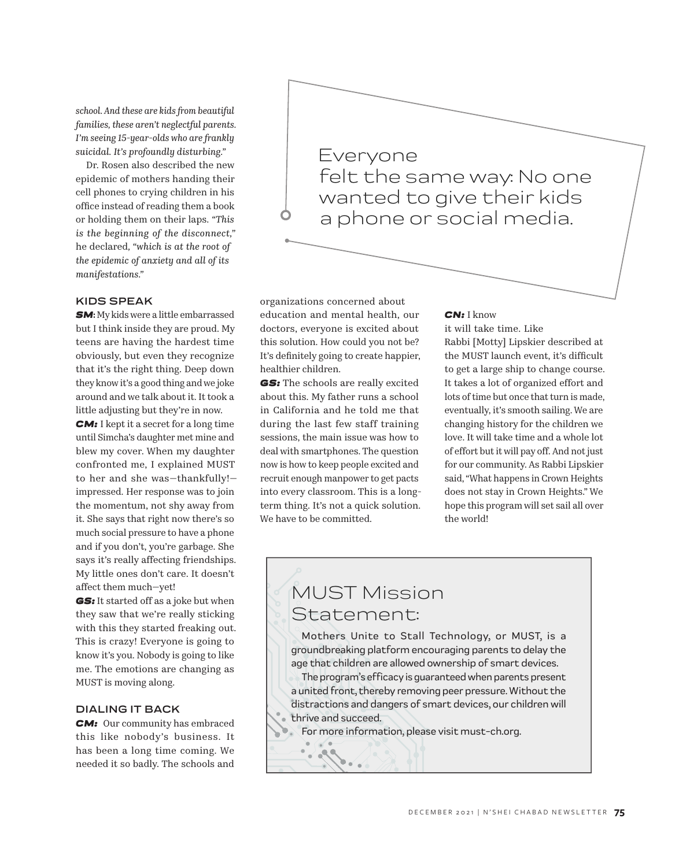*school. And these are kids from beautiful families, these aren't neglectful parents. I'm seeing 15-year-olds who are frankly suicidal. It's profoundly disturbing."*

Dr. Rosen also described the new epidemic of mothers handing their cell phones to crying children in his office instead of reading them a book or holding them on their laps. *"This is the beginning of the disconnect,"*  he declared*, "which is at the root of the epidemic of anxiety and all of its manifestations."*

### **KIDS SPEAK**

*SM***:** My kids were a little embarrassed but I think inside they are proud. My teens are having the hardest time obviously, but even they recognize that it's the right thing. Deep down they know it's a good thing and we joke around and we talk about it. It took a little adjusting but they're in now.

**CM:** I kept it a secret for a long time until Simcha's daughter met mine and blew my cover. When my daughter confronted me, I explained MUST to her and she was—thankfully! impressed. Her response was to join the momentum, not shy away from it. She says that right now there's so much social pressure to have a phone and if you don't, you're garbage. She says it's really affecting friendships. My little ones don't care. It doesn't affect them much—yet!

*GS:* It started off as a joke but when they saw that we're really sticking with this they started freaking out. This is crazy! Everyone is going to know it's you. Nobody is going to like me. The emotions are changing as MUST is moving along.

#### **DIALING IT BACK**

*CM:* Our community has embraced this like nobody's business. It has been a long time coming. We needed it so badly. The schools and Everyone felt the same way: No one wanted to give their kids a phone or social media.

organizations concerned about education and mental health, our doctors, everyone is excited about this solution. How could you not be? It's definitely going to create happier, healthier children.

**GS:** The schools are really excited about this. My father runs a school in California and he told me that during the last few staff training sessions, the main issue was how to deal with smartphones. The question now is how to keep people excited and recruit enough manpower to get pacts into every classroom. This is a longterm thing. It's not a quick solution. We have to be committed.

#### *CN:* I know

it will take time. Like Rabbi [Motty] Lipskier described at the MUST launch event, it's difficult to get a large ship to change course. It takes a lot of organized effort and lots of time but once that turn is made, eventually, it's smooth sailing. We are changing history for the children we love. It will take time and a whole lot of effort but it will pay off. And not just for our community. As Rabbi Lipskier said, "What happens in Crown Heights does not stay in Crown Heights." We hope this program will set sail all over the world!

# MUST Mission Statement:

Mothers Unite to Stall Technology, or MUST, is a groundbreaking platform encouraging parents to delay the age that children are allowed ownership of smart devices.

The program's efficacy is guaranteed when parents present a united front, thereby removing peer pressure. Without the distractions and dangers of smart devices, our children will thrive and succeed.

For more information, please visit must-ch.org.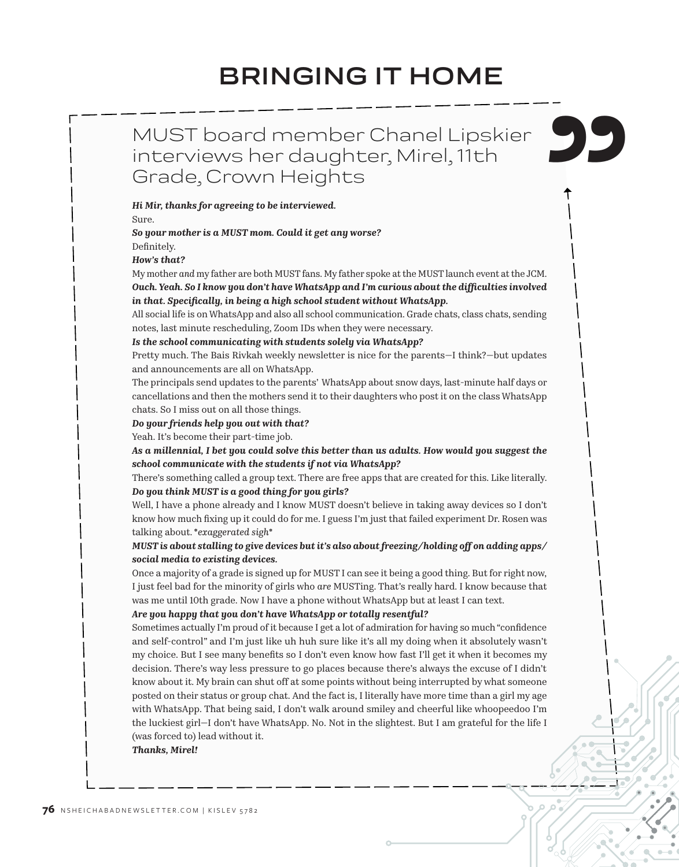# **BRINGING IT HOME**

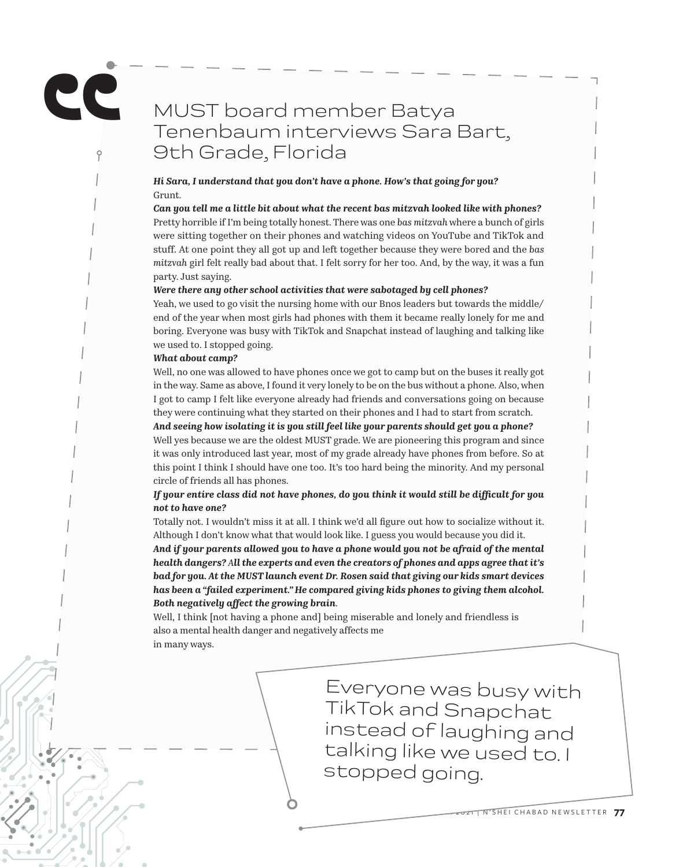# MUST board member Batya Tenenbaum interviews Sara Bart, 9th Grade, Florida

*Hi Sara, I understand that you don't have a phone. How's that going for you?* Grunt.

*Can you tell me a little bit about what the recent bas mitzvah looked like with phones?* Pretty horrible if I'm being totally honest. There was one *bas mitzvah* where a bunch of girls were sitting together on their phones and watching videos on YouTube and TikTok and stuff. At one point they all got up and left together because they were bored and the *bas mitzvah* girl felt really bad about that. I felt sorry for her too. And, by the way, it was a fun party. Just saying.

#### *Were there any other school activities that were sabotaged by cell phones?*

Yeah, we used to go visit the nursing home with our Bnos leaders but towards the middle/ end of the year when most girls had phones with them it became really lonely for me and boring. Everyone was busy with TikTok and Snapchat instead of laughing and talking like we used to. I stopped going.

#### *What about camp?*

**"**

Well, no one was allowed to have phones once we got to camp but on the buses it really got in the way. Same as above, I found it very lonely to be on the bus without a phone. Also, when I got to camp I felt like everyone already had friends and conversations going on because they were continuing what they started on their phones and I had to start from scratch.

*And seeing how isolating it is you still feel like your parents should get you a phone?* Well yes because we are the oldest MUST grade. We are pioneering this program and since it was only introduced last year, most of my grade already have phones from before. So at this point I think I should have one too. It's too hard being the minority. And my personal

circle of friends all has phones.

### *If your entire class did not have phones, do you think it would still be difficult for you not to have one?*

Totally not. I wouldn't miss it at all. I think we'd all figure out how to socialize without it. Although I don't know what that would look like. I guess you would because you did it.

*And if your parents allowed you to have a phone would you not be afraid of the mental health dangers? All the experts and even the creators of phones and apps agree that it's bad for you. At the MUST launch event Dr. Rosen said that giving our kids smart devices has been a "failed experiment." He compared giving kids phones to giving them alcohol. Both negatively affect the growing brain.* 

Well, I think [not having a phone and] being miserable and lonely and friendless is also a mental health danger and negatively affects me in many ways.

> Everyone was busy with TikTok and Snapchat instead of laughing and talking like we used to. I stopped going.